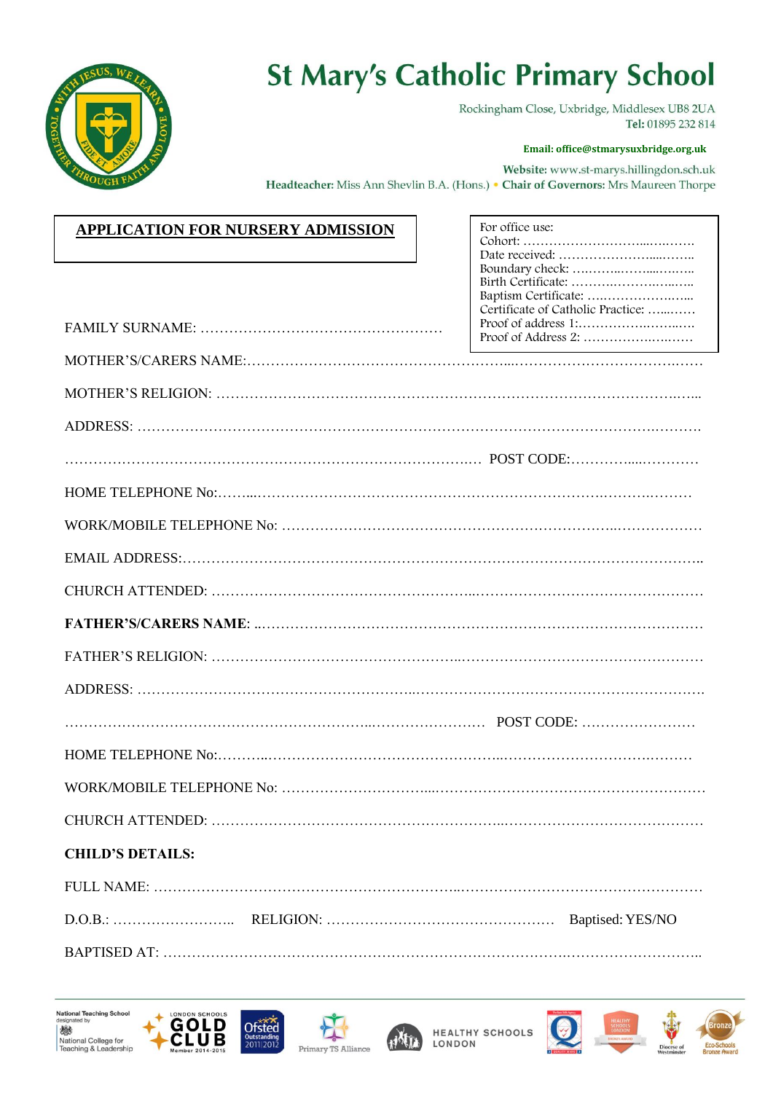

## **St Mary's Catholic Primary School**

Rockingham Close, Uxbridge, Middlesex UB8 2UA Tel: 01895 232 814

Cohort: ………………………...….…….

## **Email: office@stmarysuxbridge.org.uk**

Website: www.st-marys.hillingdon.sch.uk Headteacher: Miss Ann Shevlin B.A. (Hons.) • Chair of Governors: Mrs Maureen Thorpe

For office use:

|--|

|                         | Certificate of Catholic Practice: |
|-------------------------|-----------------------------------|
|                         |                                   |
|                         |                                   |
|                         |                                   |
|                         |                                   |
|                         |                                   |
|                         |                                   |
|                         |                                   |
|                         |                                   |
|                         |                                   |
|                         |                                   |
|                         |                                   |
|                         |                                   |
|                         |                                   |
|                         |                                   |
|                         |                                   |
|                         |                                   |
| <b>CHILD'S DETAILS:</b> |                                   |
|                         |                                   |
|                         |                                   |
|                         |                                   |